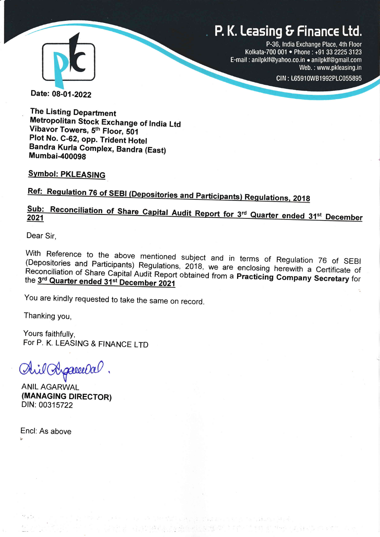# P. K. Leasing & Finance Ltd.



P-36, tndia Exchange Place, 4th Floor Kolkata-700 001 · Phone : +91 33 2225 3123 E-mail: anilpklf@yahoo.co.in . anilpklf@gmail.com Web. : www.pkleasing.in

CIN: L65910WB1992PLC055895

I

Date: 08-01-2022

The Listing Department Metropolitan Stock Exchange of India Ltd<br>Vibavor Towers, 5<sup>th</sup> Floor, 501 Plot No. C-62, opp. Trident Hotel Bandra Kurla Complex, Bandra (East) **Mumbai-400098** 

Symbol: PKLEASING

Ref: Regulation 76 of SEBI (Depositories and Participants) Regulations, 2018

# 2A21. st

Dear Sir,

with (Depositories Reference to the above mentioned subject and in terms of Regulation 76 of SEB<br>sitories and Participants) Requiptions 2019 was a minimum of Regulation 76 of SEB and Participants) Regulations, 2018, we are enclosing herewith a Certificate of<br>of Share Capital Audit Pepert obtained from a purchase of Share Capital of respondings and Tamoipants) Regulations, 2018, we are enclosing herewith a Certificate of<br>Reconciliation of Share Capital Audit Report obtained from a **Practicing Company Secretary** for<br>the 3<sup>rd</sup> Qua**rter ended** 31st Decem the 3rd Quarter ended 31st December 2021

You are kindly requested to take the same on record.

q

Thanking you,

Yours faithfully, For P. K. LEASING & FINANCE LTD

d^i/ Apareeda

**ANIL AGARWAL** (MANAGING DIRECTOR) DIN: 003 15722

Encl: As above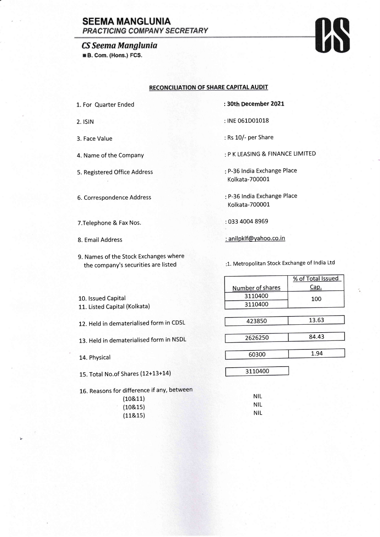## **SEEMA MANGLUNIA PRACTICING COMPANY SECRETARY**

### CS Seema Manglunia

**B. Com. (Hons.) FCS.** 

#### RECONCILIATION OF SHARE CAPITAL AUDIT

- L. For Quarter Ended
- 2. **ISIN**
- 3. Face Value
- 4. Name of the Company
- 5. Registered Office Address
- 6. Correspondence Address
- T.Telephone & Fax Nos.
- 8. Email Address

b

9. Names of the Stock Exchanges where the company's securities are listed

- : 30th December 2OZI
- : INE 061D01018
- : Rs 10/- per Share
- P K LEASING & FINANCE LIMITED
- P-36 lndia Exchange Place Kolkata-700001
- P-35 lndia Exchange Place Kolkata-700001
- : 033 4004 8969
- : anilpklf@yahoo.co.in

1. Metropolitan Stock Exchange of lndia Ltd

|                                                       |                  | % of Total Issued |
|-------------------------------------------------------|------------------|-------------------|
|                                                       | Number of shares | Cap.              |
| 10. Issued Capital                                    | 3110400          | 100               |
| 11. Listed Capital (Kolkata)                          | 3110400          |                   |
|                                                       |                  |                   |
| 12. Held in dematerialised form in CDSL               | 423850           | 13.63             |
|                                                       |                  |                   |
| 13. Held in dematerialised form in NSDL               | 2626250          | 84.43             |
|                                                       |                  |                   |
| 14. Physical                                          | 60300            | 1.94              |
|                                                       | 3110400          |                   |
| 15. Total No.of Shares (12+13+14)                     |                  |                   |
|                                                       |                  |                   |
| 16. Reasons for difference if any, between<br>1109.11 | NIL              |                   |

| $1$ and $1$ chose $\cdots$ and $\cdots$ |            |
|-----------------------------------------|------------|
| (10811)                                 | NIL.       |
|                                         | <b>NIL</b> |
|                                         | NIL        |
| (10815)<br>(11815)                      |            |